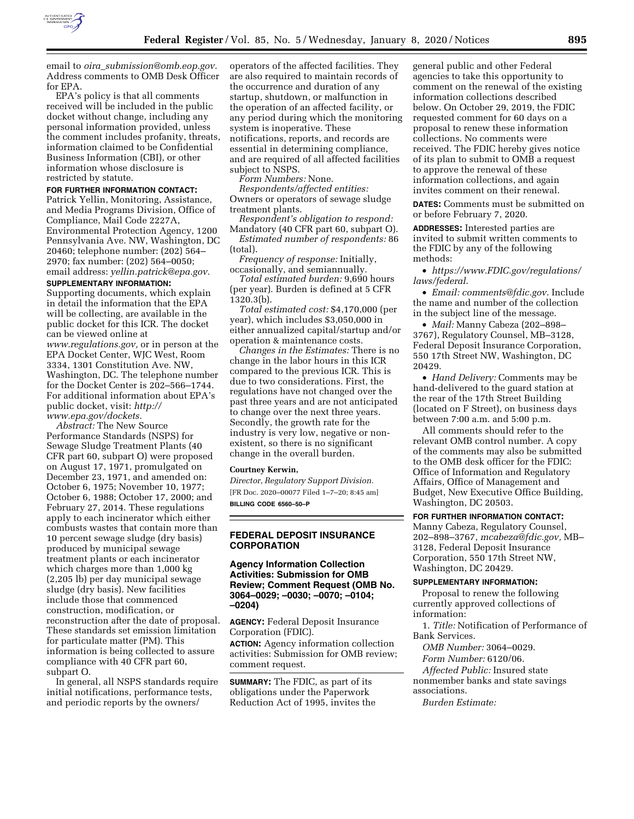

email to *oira*\_*[submission@omb.eop.gov.](mailto:oira_submission@omb.eop.gov)*  Address comments to OMB Desk Officer for EPA.

EPA's policy is that all comments received will be included in the public docket without change, including any personal information provided, unless the comment includes profanity, threats, information claimed to be Confidential Business Information (CBI), or other information whose disclosure is restricted by statute.

#### **FOR FURTHER INFORMATION CONTACT:**

Patrick Yellin, Monitoring, Assistance, and Media Programs Division, Office of Compliance, Mail Code 2227A, Environmental Protection Agency, 1200 Pennsylvania Ave. NW, Washington, DC 20460; telephone number: (202) 564– 2970; fax number: (202) 564–0050; email address: *[yellin.patrick@epa.gov.](mailto:yellin.patrick@epa.gov)* 

#### **SUPPLEMENTARY INFORMATION:**

Supporting documents, which explain in detail the information that the EPA will be collecting, are available in the public docket for this ICR. The docket can be viewed online at *[www.regulations.gov,](http://www.regulations.gov)* or in person at the EPA Docket Center, WJC West, Room 3334, 1301 Constitution Ave. NW, Washington, DC. The telephone number for the Docket Center is 202–566–1744. For additional information about EPA's public docket, visit: *[http://](http://www.epa.gov/dockets) [www.epa.gov/dockets.](http://www.epa.gov/dockets)* 

*Abstract:* The New Source Performance Standards (NSPS) for Sewage Sludge Treatment Plants (40 CFR part 60, subpart O) were proposed on August 17, 1971, promulgated on December 23, 1971, and amended on: October 6, 1975; November 10, 1977; October 6, 1988; October 17, 2000; and February 27, 2014. These regulations apply to each incinerator which either combusts wastes that contain more than 10 percent sewage sludge (dry basis) produced by municipal sewage treatment plants or each incinerator which charges more than 1,000 kg (2,205 lb) per day municipal sewage sludge (dry basis). New facilities include those that commenced construction, modification, or reconstruction after the date of proposal. These standards set emission limitation for particulate matter (PM). This information is being collected to assure compliance with 40 CFR part 60, subpart O.

In general, all NSPS standards require initial notifications, performance tests, and periodic reports by the owners/

operators of the affected facilities. They are also required to maintain records of the occurrence and duration of any startup, shutdown, or malfunction in the operation of an affected facility, or any period during which the monitoring system is inoperative. These notifications, reports, and records are essential in determining compliance, and are required of all affected facilities subject to NSPS.

*Form Numbers:* None.

*Respondents/affected entities:*  Owners or operators of sewage sludge treatment plants.

*Respondent's obligation to respond:*  Mandatory (40 CFR part 60, subpart O).

*Estimated number of respondents:* 86 (total).

*Frequency of response:* Initially, occasionally, and semiannually.

*Total estimated burden:* 9,690 hours (per year). Burden is defined at 5 CFR 1320.3(b).

*Total estimated cost:* \$4,170,000 (per year), which includes \$3,050,000 in either annualized capital/startup and/or operation & maintenance costs.

*Changes in the Estimates:* There is no change in the labor hours in this ICR compared to the previous ICR. This is due to two considerations. First, the regulations have not changed over the past three years and are not anticipated to change over the next three years. Secondly, the growth rate for the industry is very low, negative or nonexistent, so there is no significant change in the overall burden.

#### **Courtney Kerwin,**

*Director, Regulatory Support Division.*  [FR Doc. 2020–00077 Filed 1–7–20; 8:45 am] **BILLING CODE 6560–50–P** 

## **FEDERAL DEPOSIT INSURANCE CORPORATION**

**Agency Information Collection Activities: Submission for OMB Review; Comment Request (OMB No. 3064–0029; –0030; –0070; –0104; –0204)**

**AGENCY:** Federal Deposit Insurance Corporation (FDIC). **ACTION:** Agency information collection activities: Submission for OMB review; comment request.

**SUMMARY:** The FDIC, as part of its obligations under the Paperwork Reduction Act of 1995, invites the

general public and other Federal agencies to take this opportunity to comment on the renewal of the existing information collections described below. On October 29, 2019, the FDIC requested comment for 60 days on a proposal to renew these information collections. No comments were received. The FDIC hereby gives notice of its plan to submit to OMB a request to approve the renewal of these information collections, and again invites comment on their renewal.

**DATES:** Comments must be submitted on or before February 7, 2020.

**ADDRESSES:** Interested parties are invited to submit written comments to the FDIC by any of the following methods:

• *[https://www.FDIC.gov/regulations/](https://www.FDIC.gov/regulations/laws/federal) [laws/federal](https://www.FDIC.gov/regulations/laws/federal)*.

• *Email: [comments@fdic.gov](mailto:comments@fdic.gov)*. Include the name and number of the collection in the subject line of the message.

• *Mail:* Manny Cabeza (202–898– 3767), Regulatory Counsel, MB–3128, Federal Deposit Insurance Corporation, 550 17th Street NW, Washington, DC 20429.

• *Hand Delivery:* Comments may be hand-delivered to the guard station at the rear of the 17th Street Building (located on F Street), on business days between 7:00 a.m. and 5:00 p.m.

All comments should refer to the relevant OMB control number. A copy of the comments may also be submitted to the OMB desk officer for the FDIC: Office of Information and Regulatory Affairs, Office of Management and Budget, New Executive Office Building, Washington, DC 20503.

# **FOR FURTHER INFORMATION CONTACT:**

Manny Cabeza, Regulatory Counsel, 202–898–3767, *[mcabeza@fdic.gov,](mailto:mcabeza@fdic.gov)* MB– 3128, Federal Deposit Insurance Corporation, 550 17th Street NW, Washington, DC 20429.

#### **SUPPLEMENTARY INFORMATION:**

Proposal to renew the following currently approved collections of information:

1. *Title:* Notification of Performance of Bank Services.

*OMB Number:* 3064–0029. *Form Number:* 6120/06.

*Affected Public:* Insured state nonmember banks and state savings associations.

*Burden Estimate:*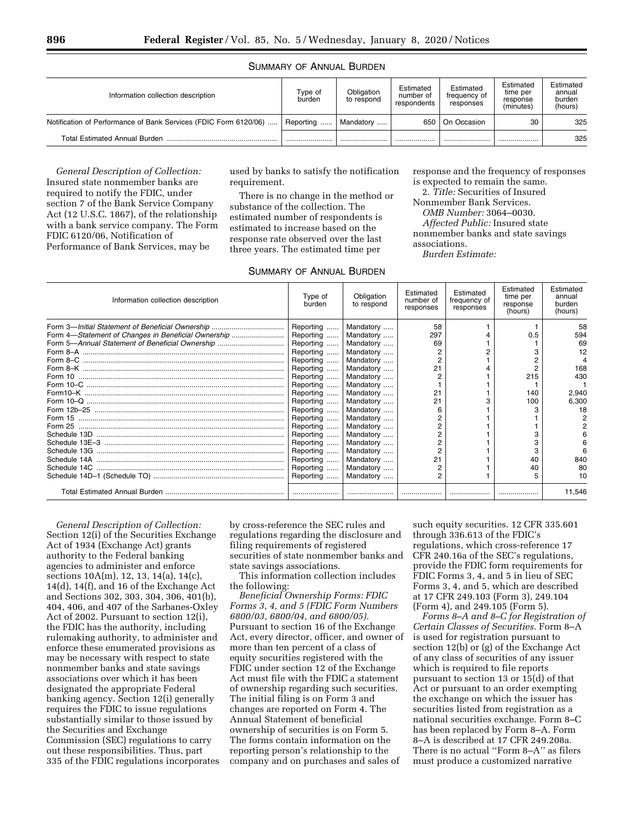### SUMMARY OF ANNUAL BURDEN

| Information collection description                               | Type of<br>burden | Obligation<br>to respond | Estimated<br>number of<br>respondents | Estimated<br>frequency of<br>responses | Estimated<br>time per<br>response<br>(minutes) | Estimated<br>annual<br>burden<br>(hours) |
|------------------------------------------------------------------|-------------------|--------------------------|---------------------------------------|----------------------------------------|------------------------------------------------|------------------------------------------|
| Notification of Performance of Bank Services (FDIC Form 6120/06) | Reporting         | Mandatory                | 650                                   | On Occasion                            | 30                                             | 325                                      |
| Total Estimated Annual Burden                                    |                   |                          |                                       |                                        | .                                              | 325                                      |

*General Description of Collection:*  Insured state nonmember banks are required to notify the FDIC, under section 7 of the Bank Service Company Act (12 U.S.C. 1867), of the relationship with a bank service company. The Form FDIC 6120/06, Notification of Performance of Bank Services, may be

used by banks to satisfy the notification requirement.

There is no change in the method or substance of the collection. The estimated number of respondents is estimated to increase based on the response rate observed over the last three years. The estimated time per

## SUMMARY OF ANNUAL BURDEN

response and the frequency of responses is expected to remain the same.

2. *Title:* Securities of Insured Nonmember Bank Services.

*OMB Number:* 3064–0030.

*Affected Public:* Insured state nonmember banks and state savings

associations.

*Burden Estimate:* 

| Information collection description                  | Type of<br>burden | Obligation<br>to respond | Estimated<br>number of<br>responses | Estimated<br>frequency of<br>responses | Estimated<br>time per<br>response<br>(hours) | Estimated<br>annual<br>burden<br>(hours) |
|-----------------------------------------------------|-------------------|--------------------------|-------------------------------------|----------------------------------------|----------------------------------------------|------------------------------------------|
|                                                     | Reporting         | Mandatory                | 58                                  |                                        |                                              | 58                                       |
| Form 4-Statement of Changes in Beneficial Ownership | Reporting         | Mandatory                | 297                                 |                                        | 0.5                                          | 594                                      |
| Form 5-Annual Statement of Beneficial Ownership     | Reporting         | Mandatory                | 69                                  |                                        |                                              | 69                                       |
|                                                     | Reporting         | Mandatory                |                                     |                                        |                                              | 12                                       |
|                                                     | Reporting         | Mandatory                | $\overline{2}$                      |                                        |                                              |                                          |
|                                                     | Reporting         | Mandatory                | 21                                  |                                        |                                              | 168                                      |
|                                                     | Reporting         | Mandatory                | 2                                   |                                        | 215                                          | 430                                      |
|                                                     | Reporting         | Mandatory                |                                     |                                        |                                              |                                          |
|                                                     | Reporting         | Mandatory                | 21                                  |                                        | 140                                          | 2,940                                    |
|                                                     | Reporting         | Mandatory                | 21                                  |                                        | 100                                          | 6,300                                    |
|                                                     | Reporting         | Mandatory                |                                     |                                        |                                              | 18                                       |
|                                                     | Reporting         | Mandatory                |                                     |                                        |                                              |                                          |
|                                                     | Reporting         | Mandatory                |                                     |                                        |                                              |                                          |
|                                                     | Reporting         | Mandatory                |                                     |                                        |                                              |                                          |
|                                                     | Reporting         | Mandatory                |                                     |                                        |                                              |                                          |
|                                                     | Reporting         | Mandatory                |                                     |                                        |                                              |                                          |
|                                                     | Reporting         | Mandatory                | 21                                  |                                        | 40                                           | 840                                      |
|                                                     | Reporting         | Mandatory                | $\overline{2}$                      |                                        | 40                                           | 80                                       |
|                                                     | Reporting         | Mandatory                |                                     |                                        |                                              | 10                                       |
|                                                     |                   |                          |                                     |                                        |                                              | 11,546                                   |

*General Description of Collection:*  Section 12(i) of the Securities Exchange Act of 1934 (Exchange Act) grants authority to the Federal banking agencies to administer and enforce sections 10A(m), 12, 13, 14(a), 14(c), 14(d), 14(f), and 16 of the Exchange Act and Sections 302, 303, 304, 306, 401(b), 404, 406, and 407 of the Sarbanes-Oxley Act of 2002. Pursuant to section 12(i), the FDIC has the authority, including rulemaking authority, to administer and enforce these enumerated provisions as may be necessary with respect to state nonmember banks and state savings associations over which it has been designated the appropriate Federal banking agency. Section 12(i) generally requires the FDIC to issue regulations substantially similar to those issued by the Securities and Exchange Commission (SEC) regulations to carry out these responsibilities. Thus, part 335 of the FDIC regulations incorporates by cross-reference the SEC rules and regulations regarding the disclosure and filing requirements of registered securities of state nonmember banks and state savings associations.

This information collection includes the following:

*Beneficial Ownership Forms: FDIC Forms 3, 4, and 5 (FDIC Form Numbers 6800/03, 6800/04, and 6800/05).*  Pursuant to section 16 of the Exchange Act, every director, officer, and owner of more than ten percent of a class of equity securities registered with the FDIC under section 12 of the Exchange Act must file with the FDIC a statement of ownership regarding such securities. The initial filing is on Form 3 and changes are reported on Form 4. The Annual Statement of beneficial ownership of securities is on Form 5. The forms contain information on the reporting person's relationship to the company and on purchases and sales of

such equity securities. 12 CFR 335.601 through 336.613 of the FDIC's regulations, which cross-reference 17 CFR 240.16a of the SEC's regulations, provide the FDIC form requirements for FDIC Forms 3, 4, and 5 in lieu of SEC Forms 3, 4, and 5, which are described at 17 CFR 249.103 (Form 3), 249.104 (Form 4), and 249.105 (Form 5).

*Forms 8–A and 8–C for Registration of Certain Classes of Securities.* Form 8–A is used for registration pursuant to section 12(b) or (g) of the Exchange Act of any class of securities of any issuer which is required to file reports pursuant to section 13 or 15(d) of that Act or pursuant to an order exempting the exchange on which the issuer has securities listed from registration as a national securities exchange. Form 8–C has been replaced by Form 8–A. Form 8–A is described at 17 CFR 249.208a. There is no actual ''Form 8–A'' as filers must produce a customized narrative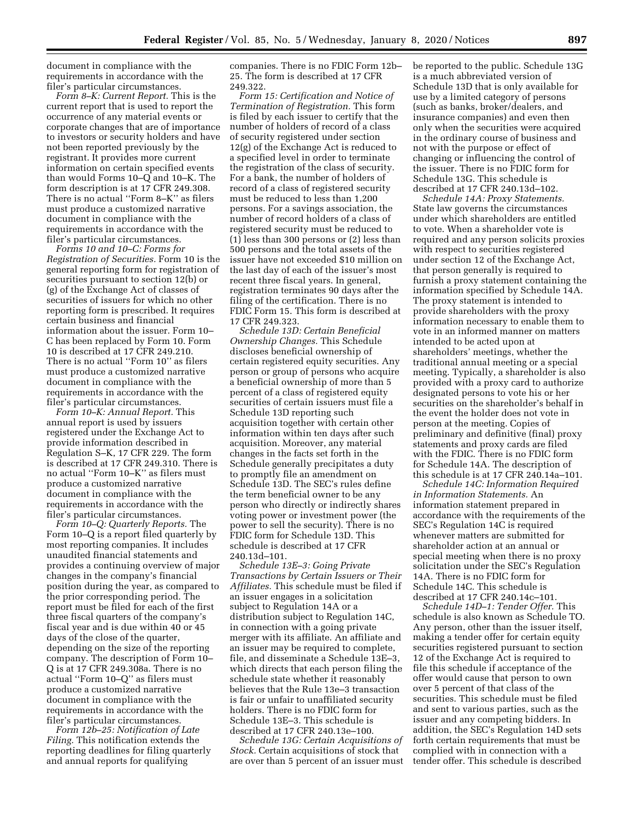document in compliance with the requirements in accordance with the filer's particular circumstances.

*Form 8–K: Current Report.* This is the current report that is used to report the occurrence of any material events or corporate changes that are of importance to investors or security holders and have not been reported previously by the registrant. It provides more current information on certain specified events than would Forms 10–Q and 10–K. The form description is at 17 CFR 249.308. There is no actual ''Form 8–K'' as filers must produce a customized narrative document in compliance with the requirements in accordance with the filer's particular circumstances.

*Forms 10 and 10–C: Forms for Registration of Securities.* Form 10 is the general reporting form for registration of securities pursuant to section 12(b) or (g) of the Exchange Act of classes of securities of issuers for which no other reporting form is prescribed. It requires certain business and financial information about the issuer. Form 10– C has been replaced by Form 10. Form 10 is described at 17 CFR 249.210. There is no actual ''Form 10'' as filers must produce a customized narrative document in compliance with the requirements in accordance with the filer's particular circumstances.

*Form 10–K: Annual Report.* This annual report is used by issuers registered under the Exchange Act to provide information described in Regulation S–K, 17 CFR 229. The form is described at 17 CFR 249.310. There is no actual ''Form 10–K'' as filers must produce a customized narrative document in compliance with the requirements in accordance with the filer's particular circumstances.

*Form 10–Q: Quarterly Reports.* The Form 10–Q is a report filed quarterly by most reporting companies. It includes unaudited financial statements and provides a continuing overview of major changes in the company's financial position during the year, as compared to the prior corresponding period. The report must be filed for each of the first three fiscal quarters of the company's fiscal year and is due within 40 or 45 days of the close of the quarter, depending on the size of the reporting company. The description of Form 10– Q is at 17 CFR 249.308a. There is no actual ''Form 10–Q'' as filers must produce a customized narrative document in compliance with the requirements in accordance with the filer's particular circumstances.

*Form 12b–25: Notification of Late Filing.* This notification extends the reporting deadlines for filing quarterly and annual reports for qualifying

companies. There is no FDIC Form 12b– 25. The form is described at 17 CFR 249.322.

*Form 15: Certification and Notice of Termination of Registration.* This form is filed by each issuer to certify that the number of holders of record of a class of security registered under section 12(g) of the Exchange Act is reduced to a specified level in order to terminate the registration of the class of security. For a bank, the number of holders of record of a class of registered security must be reduced to less than 1,200 persons. For a savings association, the number of record holders of a class of registered security must be reduced to (1) less than 300 persons or (2) less than 500 persons and the total assets of the issuer have not exceeded \$10 million on the last day of each of the issuer's most recent three fiscal years. In general, registration terminates 90 days after the filing of the certification. There is no FDIC Form 15. This form is described at 17 CFR 249.323.

*Schedule 13D: Certain Beneficial Ownership Changes.* This Schedule discloses beneficial ownership of certain registered equity securities. Any person or group of persons who acquire a beneficial ownership of more than 5 percent of a class of registered equity securities of certain issuers must file a Schedule 13D reporting such acquisition together with certain other information within ten days after such acquisition. Moreover, any material changes in the facts set forth in the Schedule generally precipitates a duty to promptly file an amendment on Schedule 13D. The SEC's rules define the term beneficial owner to be any person who directly or indirectly shares voting power or investment power (the power to sell the security). There is no FDIC form for Schedule 13D. This schedule is described at 17 CFR 240.13d–101.

*Schedule 13E–3: Going Private Transactions by Certain Issuers or Their Affiliates.* This schedule must be filed if an issuer engages in a solicitation subject to Regulation 14A or a distribution subject to Regulation 14C, in connection with a going private merger with its affiliate. An affiliate and an issuer may be required to complete, file, and disseminate a Schedule 13E–3, which directs that each person filing the schedule state whether it reasonably believes that the Rule 13e–3 transaction is fair or unfair to unaffiliated security holders. There is no FDIC form for Schedule 13E–3. This schedule is described at 17 CFR 240.13e–100.

*Schedule 13G: Certain Acquisitions of Stock.* Certain acquisitions of stock that are over than 5 percent of an issuer must be reported to the public. Schedule 13G is a much abbreviated version of Schedule 13D that is only available for use by a limited category of persons (such as banks, broker/dealers, and insurance companies) and even then only when the securities were acquired in the ordinary course of business and not with the purpose or effect of changing or influencing the control of the issuer. There is no FDIC form for Schedule 13G. This schedule is described at 17 CFR 240.13d–102.

*Schedule 14A: Proxy Statements.*  State law governs the circumstances under which shareholders are entitled to vote. When a shareholder vote is required and any person solicits proxies with respect to securities registered under section 12 of the Exchange Act, that person generally is required to furnish a proxy statement containing the information specified by Schedule 14A. The proxy statement is intended to provide shareholders with the proxy information necessary to enable them to vote in an informed manner on matters intended to be acted upon at shareholders' meetings, whether the traditional annual meeting or a special meeting. Typically, a shareholder is also provided with a proxy card to authorize designated persons to vote his or her securities on the shareholder's behalf in the event the holder does not vote in person at the meeting. Copies of preliminary and definitive (final) proxy statements and proxy cards are filed with the FDIC. There is no FDIC form for Schedule 14A. The description of this schedule is at 17 CFR 240.14a–101.

*Schedule 14C: Information Required in Information Statements.* An information statement prepared in accordance with the requirements of the SEC's Regulation 14C is required whenever matters are submitted for shareholder action at an annual or special meeting when there is no proxy solicitation under the SEC's Regulation 14A. There is no FDIC form for Schedule 14C. This schedule is described at 17 CFR 240.14c–101.

*Schedule 14D–1: Tender Offer.* This schedule is also known as Schedule TO. Any person, other than the issuer itself, making a tender offer for certain equity securities registered pursuant to section 12 of the Exchange Act is required to file this schedule if acceptance of the offer would cause that person to own over 5 percent of that class of the securities. This schedule must be filed and sent to various parties, such as the issuer and any competing bidders. In addition, the SEC's Regulation 14D sets forth certain requirements that must be complied with in connection with a tender offer. This schedule is described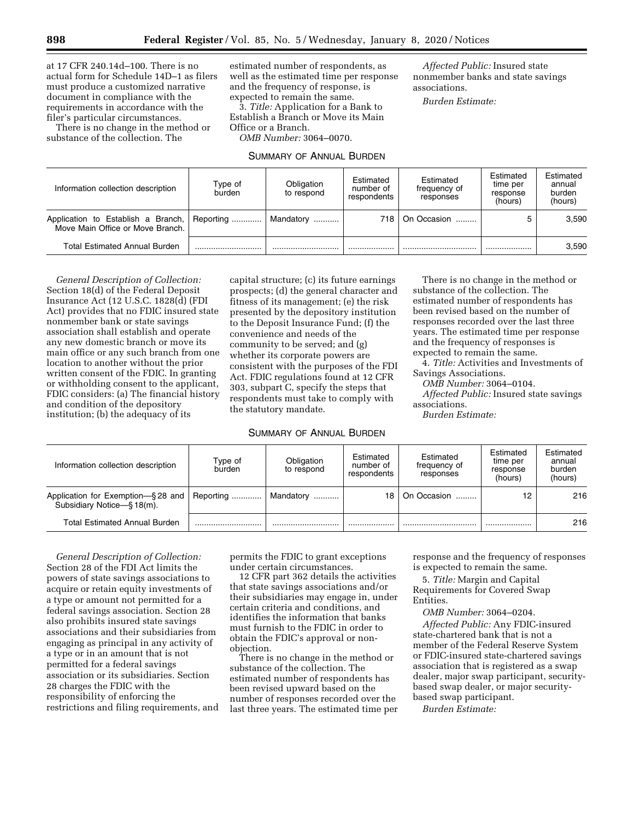at 17 CFR 240.14d–100. There is no actual form for Schedule 14D–1 as filers must produce a customized narrative document in compliance with the requirements in accordance with the filer's particular circumstances.

There is no change in the method or substance of the collection. The

estimated number of respondents, as well as the estimated time per response and the frequency of response, is expected to remain the same.

3. *Title:* Application for a Bank to Establish a Branch or Move its Main Office or a Branch. *OMB Number:* 3064–0070.

### SUMMARY OF ANNUAL BURDEN

*Affected Public:* Insured state nonmember banks and state savings associations.

*Burden Estimate:* 

| Information collection description                                               | Type of<br>burden | Obligation<br>to respond | Estimated<br>number of<br>respondents | Estimated<br>frequency of<br>responses | Estimated<br>time per<br>response<br>(hours) | Estimated<br>annual<br>burden<br>(hours) |
|----------------------------------------------------------------------------------|-------------------|--------------------------|---------------------------------------|----------------------------------------|----------------------------------------------|------------------------------------------|
| Application to Establish a Branch, Reporting<br>Move Main Office or Move Branch. |                   | Mandatory !              | 718                                   | On Occasion                            |                                              | 3,590                                    |
| <b>Total Estimated Annual Burden</b>                                             |                   |                          |                                       |                                        |                                              | 3,590                                    |

*General Description of Collection:*  Section 18(d) of the Federal Deposit Insurance Act (12 U.S.C. 1828(d) (FDI Act) provides that no FDIC insured state nonmember bank or state savings association shall establish and operate any new domestic branch or move its main office or any such branch from one location to another without the prior written consent of the FDIC. In granting or withholding consent to the applicant, FDIC considers: (a) The financial history and condition of the depository institution; (b) the adequacy of its

capital structure; (c) its future earnings prospects; (d) the general character and fitness of its management; (e) the risk presented by the depository institution to the Deposit Insurance Fund; (f) the convenience and needs of the community to be served; and (g) whether its corporate powers are consistent with the purposes of the FDI Act. FDIC regulations found at 12 CFR 303, subpart C, specify the steps that respondents must take to comply with the statutory mandate.

## SUMMARY OF ANNUAL BURDEN

There is no change in the method or substance of the collection. The estimated number of respondents has been revised based on the number of responses recorded over the last three years. The estimated time per response and the frequency of responses is expected to remain the same.

4. *Title:* Activities and Investments of Savings Associations.

*OMB Number:* 3064–0104.

*Affected Public:* Insured state savings associations.

*Burden Estimate:* 

| Information collection description                              | Type of<br>burden | Obligation<br>to respond | Estimated<br>number of<br>respondents | Estimated<br>frequency of<br>responses | Estimated<br>time per<br>response<br>(hours) | Estimated<br>annual<br>burden<br>(hours) |
|-----------------------------------------------------------------|-------------------|--------------------------|---------------------------------------|----------------------------------------|----------------------------------------------|------------------------------------------|
| Application for Exemption-§28 and<br>Subsidiary Notice-§ 18(m). | Reporting         | Mandatory                | 18                                    | On Occasion                            | 12                                           | 216                                      |
| <b>Total Estimated Annual Burden</b>                            |                   |                          |                                       |                                        |                                              | 216                                      |

*General Description of Collection:*  Section 28 of the FDI Act limits the powers of state savings associations to acquire or retain equity investments of a type or amount not permitted for a federal savings association. Section 28 also prohibits insured state savings associations and their subsidiaries from engaging as principal in any activity of a type or in an amount that is not permitted for a federal savings association or its subsidiaries. Section 28 charges the FDIC with the responsibility of enforcing the restrictions and filing requirements, and permits the FDIC to grant exceptions under certain circumstances.

12 CFR part 362 details the activities that state savings associations and/or their subsidiaries may engage in, under certain criteria and conditions, and identifies the information that banks must furnish to the FDIC in order to obtain the FDIC's approval or nonobjection.

There is no change in the method or substance of the collection. The estimated number of respondents has been revised upward based on the number of responses recorded over the last three years. The estimated time per response and the frequency of responses is expected to remain the same.

5. *Title:* Margin and Capital Requirements for Covered Swap Entities.

*OMB Number:* 3064–0204. *Affected Public:* Any FDIC-insured state-chartered bank that is not a member of the Federal Reserve System or FDIC-insured state-chartered savings association that is registered as a swap dealer, major swap participant, securitybased swap dealer, or major securitybased swap participant.

*Burden Estimate:*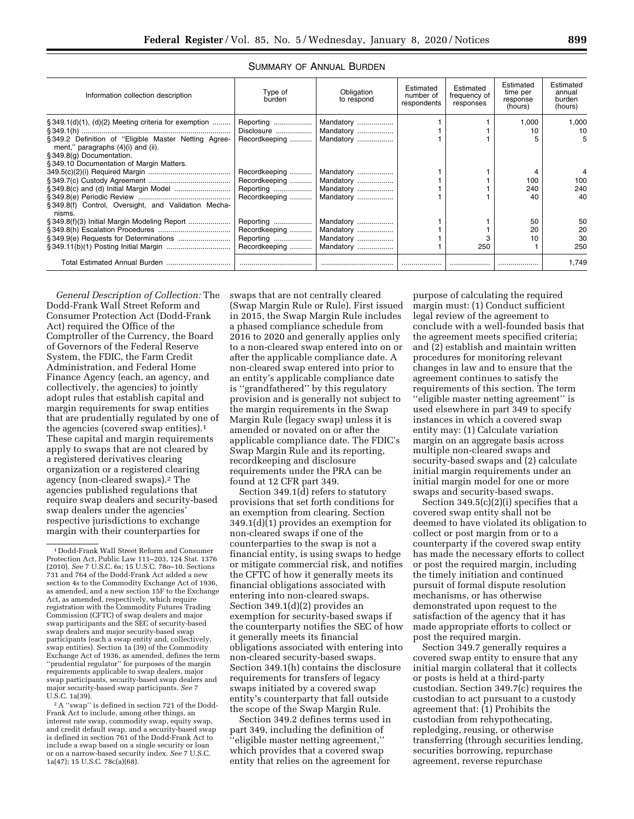| Information collection description                                                         | Obligation<br>Type of<br>burden<br>to respond |           | Estimated<br>number of<br>respondents | Estimated<br>frequency of<br>responses | Estimated<br>time per<br>response<br>(hours) | Estimated<br>annual<br>burden<br>(hours) |
|--------------------------------------------------------------------------------------------|-----------------------------------------------|-----------|---------------------------------------|----------------------------------------|----------------------------------------------|------------------------------------------|
| $\S 349.1(d)(1)$ , (d)(2) Meeting criteria for exemption                                   |                                               | Mandatory |                                       |                                        | 1,000                                        | 1.000                                    |
|                                                                                            | Disclosure                                    | Mandatory |                                       |                                        | 10                                           | 10                                       |
| §349.2 Definition of "Eligible Master Netting Agree-<br>ment," paragraphs (4)(i) and (ii). | Recordkeeping                                 | Mandatory |                                       |                                        |                                              |                                          |
| § 349.8(g) Documentation.                                                                  |                                               |           |                                       |                                        |                                              |                                          |
| §349.10 Documentation of Margin Matters.                                                   |                                               |           |                                       |                                        |                                              |                                          |
|                                                                                            | Recordkeeping                                 | Mandatory |                                       |                                        |                                              |                                          |
|                                                                                            | Recordkeeping                                 | Mandatory |                                       |                                        | 100                                          | 100                                      |
|                                                                                            |                                               | Mandatory |                                       |                                        | 240                                          | 240                                      |
|                                                                                            | Recordkeeping                                 | Mandatory |                                       |                                        | 40                                           | 40                                       |
| §349.8(f) Control, Oversight, and Validation Mecha-<br>nisms                               |                                               |           |                                       |                                        |                                              |                                          |
| § 349.8(f)(3) Initial Margin Modeling Report                                               | Reporting                                     | Mandatory |                                       |                                        | 50                                           | 50                                       |
|                                                                                            | Recordkeeping                                 | Mandatory |                                       |                                        | 20                                           | 20                                       |
|                                                                                            | Reporting                                     | Mandatory |                                       |                                        | 10                                           | 30                                       |
|                                                                                            | Recordkeeping                                 | Mandatory |                                       | 250                                    |                                              | 250                                      |
| Total Estimated Annual Burden                                                              |                                               |           |                                       |                                        |                                              | 1.749                                    |

## SUMMARY OF ANNUAL BURDEN

*General Description of Collection:* The Dodd-Frank Wall Street Reform and Consumer Protection Act (Dodd-Frank Act) required the Office of the Comptroller of the Currency, the Board of Governors of the Federal Reserve System, the FDIC, the Farm Credit Administration, and Federal Home Finance Agency (each, an agency, and collectively, the agencies) to jointly adopt rules that establish capital and margin requirements for swap entities that are prudentially regulated by one of the agencies (covered swap entities).1 These capital and margin requirements apply to swaps that are not cleared by a registered derivatives clearing organization or a registered clearing agency (non-cleared swaps).2 The agencies published regulations that require swap dealers and security-based swap dealers under the agencies' respective jurisdictions to exchange margin with their counterparties for

2A ''swap'' is defined in section 721 of the Dodd-Frank Act to include, among other things, an interest rate swap, commodity swap, equity swap, and credit default swap, and a security-based swap is defined in section 761 of the Dodd-Frank Act to include a swap based on a single security or loan or on a narrow-based security index. *See* 7 U.S.C. 1a(47); 15 U.S.C. 78c(a)(68).

swaps that are not centrally cleared (Swap Margin Rule or Rule). First issued in 2015, the Swap Margin Rule includes a phased compliance schedule from 2016 to 2020 and generally applies only to a non-cleared swap entered into on or after the applicable compliance date. A non-cleared swap entered into prior to an entity's applicable compliance date is ''grandfathered'' by this regulatory provision and is generally not subject to the margin requirements in the Swap Margin Rule (legacy swap) unless it is amended or novated on or after the applicable compliance date. The FDIC's Swap Margin Rule and its reporting, recordkeeping and disclosure requirements under the PRA can be found at 12 CFR part 349.

Section 349.1(d) refers to statutory provisions that set forth conditions for an exemption from clearing. Section 349.1(d)(1) provides an exemption for non-cleared swaps if one of the counterparties to the swap is not a financial entity, is using swaps to hedge or mitigate commercial risk, and notifies the CFTC of how it generally meets its financial obligations associated with entering into non-cleared swaps. Section 349.1(d)(2) provides an exemption for security-based swaps if the counterparty notifies the SEC of how it generally meets its financial obligations associated with entering into non-cleared security-based swaps. Section 349.1(h) contains the disclosure requirements for transfers of legacy swaps initiated by a covered swap entity's counterparty that fall outside the scope of the Swap Margin Rule.

Section 349.2 defines terms used in part 349, including the definition of ''eligible master netting agreement,'' which provides that a covered swap entity that relies on the agreement for

purpose of calculating the required margin must: (1) Conduct sufficient legal review of the agreement to conclude with a well-founded basis that the agreement meets specified criteria; and (2) establish and maintain written procedures for monitoring relevant changes in law and to ensure that the agreement continues to satisfy the requirements of this section. The term ''eligible master netting agreement'' is used elsewhere in part 349 to specify instances in which a covered swap entity may: (1) Calculate variation margin on an aggregate basis across multiple non-cleared swaps and security-based swaps and (2) calculate initial margin requirements under an initial margin model for one or more swaps and security-based swaps.

Section 349.5(c)(2)(i) specifies that a covered swap entity shall not be deemed to have violated its obligation to collect or post margin from or to a counterparty if the covered swap entity has made the necessary efforts to collect or post the required margin, including the timely initiation and continued pursuit of formal dispute resolution mechanisms, or has otherwise demonstrated upon request to the satisfaction of the agency that it has made appropriate efforts to collect or post the required margin.

Section 349.7 generally requires a covered swap entity to ensure that any initial margin collateral that it collects or posts is held at a third-party custodian. Section 349.7(c) requires the custodian to act pursuant to a custody agreement that: (1) Prohibits the custodian from rehypothecating, repledging, reusing, or otherwise transferring (through securities lending, securities borrowing, repurchase agreement, reverse repurchase

<sup>1</sup> Dodd-Frank Wall Street Reform and Consumer Protection Act, Public Law 111–203, 124 Stat. 1376 (2010). *See* 7 U.S.C. 6s; 15 U.S.C. 78o–10. Sections 731 and 764 of the Dodd-Frank Act added a new section 4s to the Commodity Exchange Act of 1936, as amended, and a new section 15F to the Exchange Act, as amended, respectively, which require registration with the Commodity Futures Trading Commission (CFTC) of swap dealers and major swap participants and the SEC of security-based swap dealers and major security-based swap participants (each a swap entity and, collectively, swap entities). Section 1a (39) of the Commodity Exchange Act of 1936, as amended, defines the term ''prudential regulator'' for purposes of the margin requirements applicable to swap dealers, major swap participants, security-based swap dealers and major security-based swap participants. *See* 7 U.S.C. 1a(39).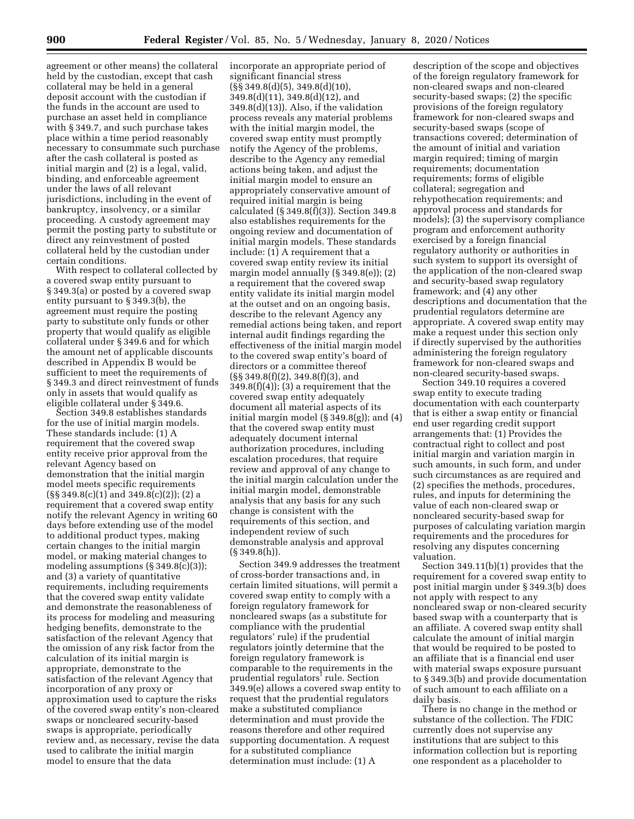agreement or other means) the collateral held by the custodian, except that cash collateral may be held in a general deposit account with the custodian if the funds in the account are used to purchase an asset held in compliance with § 349.7, and such purchase takes place within a time period reasonably necessary to consummate such purchase after the cash collateral is posted as initial margin and (2) is a legal, valid, binding, and enforceable agreement under the laws of all relevant jurisdictions, including in the event of bankruptcy, insolvency, or a similar proceeding. A custody agreement may permit the posting party to substitute or direct any reinvestment of posted collateral held by the custodian under certain conditions.

With respect to collateral collected by a covered swap entity pursuant to § 349.3(a) or posted by a covered swap entity pursuant to § 349.3(b), the agreement must require the posting party to substitute only funds or other property that would qualify as eligible collateral under § 349.6 and for which the amount net of applicable discounts described in Appendix B would be sufficient to meet the requirements of § 349.3 and direct reinvestment of funds only in assets that would qualify as eligible collateral under § 349.6.

Section 349.8 establishes standards for the use of initial margin models. These standards include: (1) A requirement that the covered swap entity receive prior approval from the relevant Agency based on demonstration that the initial margin model meets specific requirements (§§ 349.8(c)(1) and 349.8(c)(2)); (2) a requirement that a covered swap entity notify the relevant Agency in writing 60 days before extending use of the model to additional product types, making certain changes to the initial margin model, or making material changes to modeling assumptions (§ 349.8(c)(3)); and (3) a variety of quantitative requirements, including requirements that the covered swap entity validate and demonstrate the reasonableness of its process for modeling and measuring hedging benefits, demonstrate to the satisfaction of the relevant Agency that the omission of any risk factor from the calculation of its initial margin is appropriate, demonstrate to the satisfaction of the relevant Agency that incorporation of any proxy or approximation used to capture the risks of the covered swap entity's non-cleared swaps or noncleared security-based swaps is appropriate, periodically review and, as necessary, revise the data used to calibrate the initial margin model to ensure that the data

incorporate an appropriate period of significant financial stress  $(S\$  349.8(d)(5), 349.8(d)(10), 349.8(d)(11), 349.8(d)(12), and 349.8(d)(13)). Also, if the validation process reveals any material problems with the initial margin model, the covered swap entity must promptly notify the Agency of the problems, describe to the Agency any remedial actions being taken, and adjust the initial margin model to ensure an appropriately conservative amount of required initial margin is being calculated (§ 349.8(f)(3)). Section 349.8 also establishes requirements for the ongoing review and documentation of initial margin models. These standards include: (1) A requirement that a covered swap entity review its initial margin model annually (§ 349.8(e)); (2) a requirement that the covered swap entity validate its initial margin model at the outset and on an ongoing basis, describe to the relevant Agency any remedial actions being taken, and report internal audit findings regarding the effectiveness of the initial margin model to the covered swap entity's board of directors or a committee thereof (§§ 349.8(f)(2), 349.8(f)(3), and  $349.8(f)(4)$ ; (3) a requirement that the covered swap entity adequately document all material aspects of its initial margin model (§ 349.8(g)); and (4) that the covered swap entity must adequately document internal authorization procedures, including escalation procedures, that require review and approval of any change to the initial margin calculation under the initial margin model, demonstrable analysis that any basis for any such change is consistent with the requirements of this section, and independent review of such demonstrable analysis and approval (§ 349.8(h)).

Section 349.9 addresses the treatment of cross-border transactions and, in certain limited situations, will permit a covered swap entity to comply with a foreign regulatory framework for noncleared swaps (as a substitute for compliance with the prudential regulators' rule) if the prudential regulators jointly determine that the foreign regulatory framework is comparable to the requirements in the prudential regulators' rule. Section 349.9(e) allows a covered swap entity to request that the prudential regulators make a substituted compliance determination and must provide the reasons therefore and other required supporting documentation. A request for a substituted compliance determination must include: (1) A

description of the scope and objectives of the foreign regulatory framework for non-cleared swaps and non-cleared security-based swaps; (2) the specific provisions of the foreign regulatory framework for non-cleared swaps and security-based swaps (scope of transactions covered; determination of the amount of initial and variation margin required; timing of margin requirements; documentation requirements; forms of eligible collateral; segregation and rehypothecation requirements; and approval process and standards for models); (3) the supervisory compliance program and enforcement authority exercised by a foreign financial regulatory authority or authorities in such system to support its oversight of the application of the non-cleared swap and security-based swap regulatory framework; and (4) any other descriptions and documentation that the prudential regulators determine are appropriate. A covered swap entity may make a request under this section only if directly supervised by the authorities administering the foreign regulatory framework for non-cleared swaps and non-cleared security-based swaps.

Section 349.10 requires a covered swap entity to execute trading documentation with each counterparty that is either a swap entity or financial end user regarding credit support arrangements that: (1) Provides the contractual right to collect and post initial margin and variation margin in such amounts, in such form, and under such circumstances as are required and (2) specifies the methods, procedures, rules, and inputs for determining the value of each non-cleared swap or noncleared security-based swap for purposes of calculating variation margin requirements and the procedures for resolving any disputes concerning valuation.

Section 349.11(b)(1) provides that the requirement for a covered swap entity to post initial margin under § 349.3(b) does not apply with respect to any noncleared swap or non-cleared security based swap with a counterparty that is an affiliate. A covered swap entity shall calculate the amount of initial margin that would be required to be posted to an affiliate that is a financial end user with material swaps exposure pursuant to § 349.3(b) and provide documentation of such amount to each affiliate on a daily basis.

There is no change in the method or substance of the collection. The FDIC currently does not supervise any institutions that are subject to this information collection but is reporting one respondent as a placeholder to